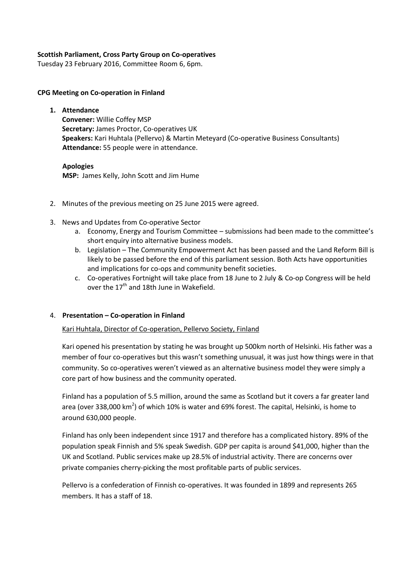## **Scottish Parliament, Cross Party Group on Co-operatives**

Tuesday 23 February 2016, Committee Room 6, 6pm.

#### **CPG Meeting on Co-operation in Finland**

**1. Attendance Convener:** Willie Coffey MSP **Secretary:** James Proctor, Co-operatives UK **Speakers:** Kari Huhtala (Pellervo) & Martin Meteyard (Co-operative Business Consultants) **Attendance:** 55 people were in attendance.

# **Apologies**

**MSP:** James Kelly, John Scott and Jim Hume

- 2. Minutes of the previous meeting on 25 June 2015 were agreed.
- 3. News and Updates from Co-operative Sector
	- a. Economy, Energy and Tourism Committee submissions had been made to the committee's short enquiry into alternative business models.
	- b. Legislation The Community Empowerment Act has been passed and the Land Reform Bill is likely to be passed before the end of this parliament session. Both Acts have opportunities and implications for co-ops and community benefit societies.
	- c. Co-operatives Fortnight will take place from 18 June to 2 July & Co-op Congress will be held over the  $17<sup>th</sup>$  and 18th June in Wakefield.

# 4. **Presentation – Co-operation in Finland**

# Kari Huhtala, Director of Co-operation, Pellervo Society, Finland

Kari opened his presentation by stating he was brought up 500km north of Helsinki. His father was a member of four co-operatives but this wasn't something unusual, it was just how things were in that community. So co-operatives weren't viewed as an alternative business model they were simply a core part of how business and the community operated.

Finland has a population of 5.5 million, around the same as Scotland but it covers a far greater land area (over 338,000 km<sup>2</sup>) of which 10% is water and 69% forest. The capital, Helsinki, is home to around 630,000 people.

Finland has only been independent since 1917 and therefore has a complicated history. 89% of the population speak Finnish and 5% speak Swedish. GDP per capita is around \$41,000, higher than the UK and Scotland. Public services make up 28.5% of industrial activity. There are concerns over private companies cherry-picking the most profitable parts of public services.

Pellervo is a confederation of Finnish co-operatives. It was founded in 1899 and represents 265 members. It has a staff of 18.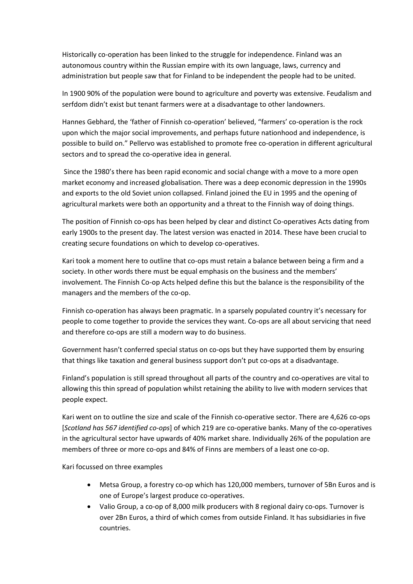Historically co-operation has been linked to the struggle for independence. Finland was an autonomous country within the Russian empire with its own language, laws, currency and administration but people saw that for Finland to be independent the people had to be united.

In 1900 90% of the population were bound to agriculture and poverty was extensive. Feudalism and serfdom didn't exist but tenant farmers were at a disadvantage to other landowners.

Hannes Gebhard, the 'father of Finnish co-operation' believed, "farmers' co-operation is the rock upon which the major social improvements, and perhaps future nationhood and independence, is possible to build on." Pellervo was established to promote free co-operation in different agricultural sectors and to spread the co-operative idea in general.

Since the 1980's there has been rapid economic and social change with a move to a more open market economy and increased globalisation. There was a deep economic depression in the 1990s and exports to the old Soviet union collapsed. Finland joined the EU in 1995 and the opening of agricultural markets were both an opportunity and a threat to the Finnish way of doing things.

The position of Finnish co-ops has been helped by clear and distinct Co-operatives Acts dating from early 1900s to the present day. The latest version was enacted in 2014. These have been crucial to creating secure foundations on which to develop co-operatives.

Kari took a moment here to outline that co-ops must retain a balance between being a firm and a society. In other words there must be equal emphasis on the business and the members' involvement. The Finnish Co-op Acts helped define this but the balance is the responsibility of the managers and the members of the co-op.

Finnish co-operation has always been pragmatic. In a sparsely populated country it's necessary for people to come together to provide the services they want. Co-ops are all about servicing that need and therefore co-ops are still a modern way to do business.

Government hasn't conferred special status on co-ops but they have supported them by ensuring that things like taxation and general business support don't put co-ops at a disadvantage.

Finland's population is still spread throughout all parts of the country and co-operatives are vital to allowing this thin spread of population whilst retaining the ability to live with modern services that people expect.

Kari went on to outline the size and scale of the Finnish co-operative sector. There are 4,626 co-ops [*Scotland has 567 identified co-ops*] of which 219 are co-operative banks. Many of the co-operatives in the agricultural sector have upwards of 40% market share. Individually 26% of the population are members of three or more co-ops and 84% of Finns are members of a least one co-op.

Kari focussed on three examples

- Metsa Group, a forestry co-op which has 120,000 members, turnover of 5Bn Euros and is one of Europe's largest produce co-operatives.
- Valio Group, a co-op of 8,000 milk producers with 8 regional dairy co-ops. Turnover is over 2Bn Euros, a third of which comes from outside Finland. It has subsidiaries in five countries.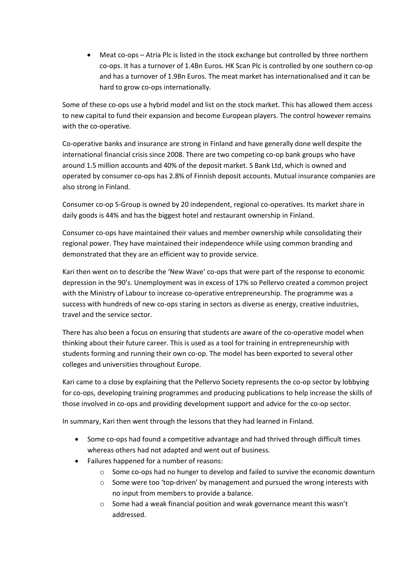Meat co-ops – Atria Plc is listed in the stock exchange but controlled by three northern co-ops. It has a turnover of 1.4Bn Euros. HK Scan Plc is controlled by one southern co-op and has a turnover of 1.9Bn Euros. The meat market has internationalised and it can be hard to grow co-ops internationally.

Some of these co-ops use a hybrid model and list on the stock market. This has allowed them access to new capital to fund their expansion and become European players. The control however remains with the co-operative.

Co-operative banks and insurance are strong in Finland and have generally done well despite the international financial crisis since 2008. There are two competing co-op bank groups who have around 1.5 million accounts and 40% of the deposit market. S Bank Ltd, which is owned and operated by consumer co-ops has 2.8% of Finnish deposit accounts. Mutual insurance companies are also strong in Finland.

Consumer co-op S-Group is owned by 20 independent, regional co-operatives. Its market share in daily goods is 44% and has the biggest hotel and restaurant ownership in Finland.

Consumer co-ops have maintained their values and member ownership while consolidating their regional power. They have maintained their independence while using common branding and demonstrated that they are an efficient way to provide service.

Kari then went on to describe the 'New Wave' co-ops that were part of the response to economic depression in the 90's. Unemployment was in excess of 17% so Pellervo created a common project with the Ministry of Labour to increase co-operative entrepreneurship. The programme was a success with hundreds of new co-ops staring in sectors as diverse as energy, creative industries, travel and the service sector.

There has also been a focus on ensuring that students are aware of the co-operative model when thinking about their future career. This is used as a tool for training in entrepreneurship with students forming and running their own co-op. The model has been exported to several other colleges and universities throughout Europe.

Kari came to a close by explaining that the Pellervo Society represents the co-op sector by lobbying for co-ops, developing training programmes and producing publications to help increase the skills of those involved in co-ops and providing development support and advice for the co-op sector.

In summary, Kari then went through the lessons that they had learned in Finland.

- Some co-ops had found a competitive advantage and had thrived through difficult times whereas others had not adapted and went out of business.
- Failures happened for a number of reasons:
	- $\circ$  Some co-ops had no hunger to develop and failed to survive the economic downturn
	- o Some were too 'top-driven' by management and pursued the wrong interests with no input from members to provide a balance.
	- o Some had a weak financial position and weak governance meant this wasn't addressed.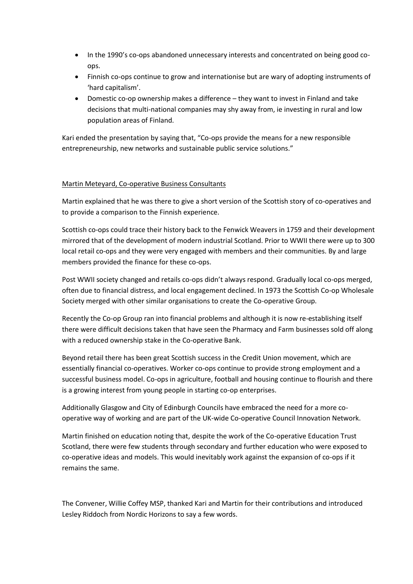- In the 1990's co-ops abandoned unnecessary interests and concentrated on being good coops.
- Finnish co-ops continue to grow and internationise but are wary of adopting instruments of 'hard capitalism'.
- Domestic co-op ownership makes a difference they want to invest in Finland and take decisions that multi-national companies may shy away from, ie investing in rural and low population areas of Finland.

Kari ended the presentation by saying that, "Co-ops provide the means for a new responsible entrepreneurship, new networks and sustainable public service solutions."

## Martin Meteyard, Co-operative Business Consultants

Martin explained that he was there to give a short version of the Scottish story of co-operatives and to provide a comparison to the Finnish experience.

Scottish co-ops could trace their history back to the Fenwick Weavers in 1759 and their development mirrored that of the development of modern industrial Scotland. Prior to WWII there were up to 300 local retail co-ops and they were very engaged with members and their communities. By and large members provided the finance for these co-ops.

Post WWII society changed and retails co-ops didn't always respond. Gradually local co-ops merged, often due to financial distress, and local engagement declined. In 1973 the Scottish Co-op Wholesale Society merged with other similar organisations to create the Co-operative Group.

Recently the Co-op Group ran into financial problems and although it is now re-establishing itself there were difficult decisions taken that have seen the Pharmacy and Farm businesses sold off along with a reduced ownership stake in the Co-operative Bank.

Beyond retail there has been great Scottish success in the Credit Union movement, which are essentially financial co-operatives. Worker co-ops continue to provide strong employment and a successful business model. Co-ops in agriculture, football and housing continue to flourish and there is a growing interest from young people in starting co-op enterprises.

Additionally Glasgow and City of Edinburgh Councils have embraced the need for a more cooperative way of working and are part of the UK-wide Co-operative Council Innovation Network.

Martin finished on education noting that, despite the work of the Co-operative Education Trust Scotland, there were few students through secondary and further education who were exposed to co-operative ideas and models. This would inevitably work against the expansion of co-ops if it remains the same.

The Convener, Willie Coffey MSP, thanked Kari and Martin for their contributions and introduced Lesley Riddoch from Nordic Horizons to say a few words.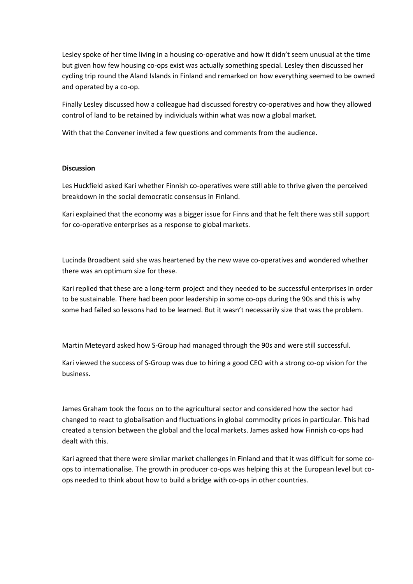Lesley spoke of her time living in a housing co-operative and how it didn't seem unusual at the time but given how few housing co-ops exist was actually something special. Lesley then discussed her cycling trip round the Aland Islands in Finland and remarked on how everything seemed to be owned and operated by a co-op.

Finally Lesley discussed how a colleague had discussed forestry co-operatives and how they allowed control of land to be retained by individuals within what was now a global market.

With that the Convener invited a few questions and comments from the audience.

### **Discussion**

Les Huckfield asked Kari whether Finnish co-operatives were still able to thrive given the perceived breakdown in the social democratic consensus in Finland.

Kari explained that the economy was a bigger issue for Finns and that he felt there was still support for co-operative enterprises as a response to global markets.

Lucinda Broadbent said she was heartened by the new wave co-operatives and wondered whether there was an optimum size for these.

Kari replied that these are a long-term project and they needed to be successful enterprises in order to be sustainable. There had been poor leadership in some co-ops during the 90s and this is why some had failed so lessons had to be learned. But it wasn't necessarily size that was the problem.

Martin Meteyard asked how S-Group had managed through the 90s and were still successful.

Kari viewed the success of S-Group was due to hiring a good CEO with a strong co-op vision for the business.

James Graham took the focus on to the agricultural sector and considered how the sector had changed to react to globalisation and fluctuations in global commodity prices in particular. This had created a tension between the global and the local markets. James asked how Finnish co-ops had dealt with this.

Kari agreed that there were similar market challenges in Finland and that it was difficult for some coops to internationalise. The growth in producer co-ops was helping this at the European level but coops needed to think about how to build a bridge with co-ops in other countries.